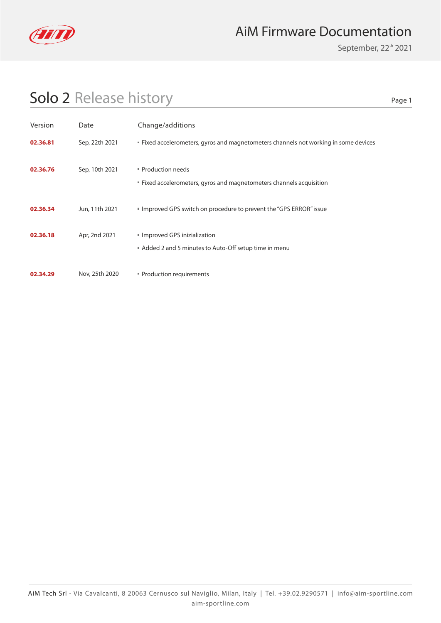

### AiM Firmware Documentation

September, 22<sup>th</sup> 2021

## Solo 2 Release history

Page 1

| Version  | Date           | Change/additions                                                                          |
|----------|----------------|-------------------------------------------------------------------------------------------|
| 02.36.81 | Sep, 22th 2021 | <b>Fixed accelerometers, gyros and magnetometers channels not working in some devices</b> |
| 02.36.76 | Sep, 10th 2021 | Production needs<br>" Fixed accelerometers, gyros and magnetometers channels acquisition  |
| 02.36.34 | Jun, 11th 2021 | Improved GPS switch on procedure to prevent the "GPS ERROR" issue                         |
| 02.36.18 | Apr, 2nd 2021  | Improved GPS inizialization<br>Added 2 and 5 minutes to Auto-Off setup time in menu       |
| 02.34.29 | Nov, 25th 2020 | " Production requirements                                                                 |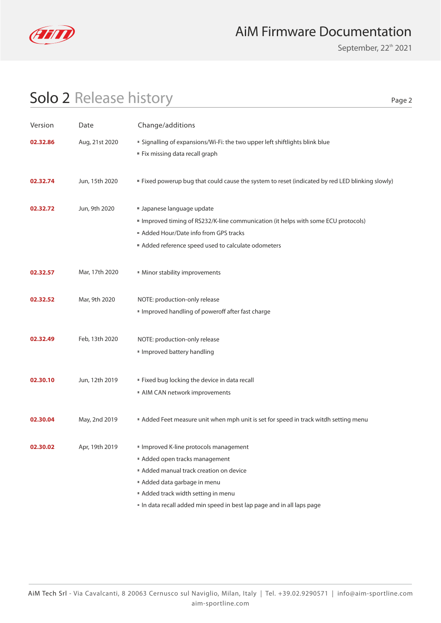

### AiM Firmware Documentation

September, 22<sup>th</sup> 2021

Page 2

### Solo 2 Release history

| Version  | Date           | Change/additions                                                                                                                                                                                                                                         |
|----------|----------------|----------------------------------------------------------------------------------------------------------------------------------------------------------------------------------------------------------------------------------------------------------|
| 02.32.86 | Aug, 21st 2020 | " Signalling of expansions/Wi-Fi: the two upper left shiftlights blink blue<br>Fix missing data recall graph                                                                                                                                             |
| 02.32.74 | Jun, 15th 2020 | " Fixed powerup bug that could cause the system to reset (indicated by red LED blinking slowly)                                                                                                                                                          |
| 02.32.72 | Jun, 9th 2020  | Japanese language update<br>Improved timing of RS232/K-line communication (it helps with some ECU protocols)<br>Added Hour/Date info from GPS tracks<br>Added reference speed used to calculate odometers                                                |
| 02.32.57 | Mar, 17th 2020 | Minor stability improvements                                                                                                                                                                                                                             |
| 02.32.52 | Mar, 9th 2020  | NOTE: production-only release<br>Improved handling of poweroff after fast charge                                                                                                                                                                         |
| 02.32.49 | Feb, 13th 2020 | NOTE: production-only release<br>Improved battery handling                                                                                                                                                                                               |
| 02.30.10 | Jun, 12th 2019 | " Fixed bug locking the device in data recall<br>AIM CAN network improvements                                                                                                                                                                            |
| 02.30.04 | May, 2nd 2019  | Added Feet measure unit when mph unit is set for speed in track witdh setting menu                                                                                                                                                                       |
| 02.30.02 | Apr, 19th 2019 | Improved K-line protocols management<br>Added open tracks management<br>Added manual track creation on device<br>Added data garbage in menu<br>Added track width setting in menu<br>In data recall added min speed in best lap page and in all laps page |